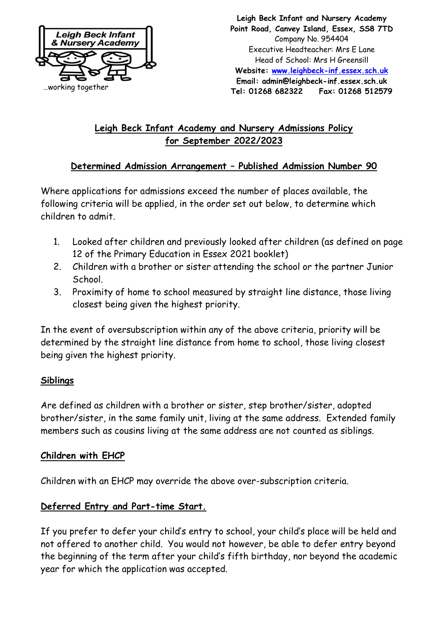

**Leigh Beck Infant and Nursery Academy Point Road, Canvey Island, Essex, SS8 7TD** Company No. 954404 Executive Headteacher: Mrs E Lane Head of School: Mrs H Greensill **Website: [www.leighbeck-inf.essex.sch.uk](http://www.leighbeck-inf.essex.sch.uk/) Email: admin@leighbeck-inf.essex.sch.uk Tel: 01268 682322 Fax: 01268 512579** 

# **Leigh Beck Infant Academy and Nursery Admissions Policy for September 2022/2023**

## **Determined Admission Arrangement – Published Admission Number 90**

Where applications for admissions exceed the number of places available, the following criteria will be applied, in the order set out below, to determine which children to admit.

- 1. Looked after children and previously looked after children (as defined on page 12 of the Primary Education in Essex 2021 booklet)
- 2. Children with a brother or sister attending the school or the partner Junior School.
- 3. Proximity of home to school measured by straight line distance, those living closest being given the highest priority.

In the event of oversubscription within any of the above criteria, priority will be determined by the straight line distance from home to school, those living closest being given the highest priority.

# **Siblings**

Are defined as children with a brother or sister, step brother/sister, adopted brother/sister, in the same family unit, living at the same address. Extended family members such as cousins living at the same address are not counted as siblings.

## **Children with EHCP**

Children with an EHCP may override the above over-subscription criteria.

# **Deferred Entry and Part-time Start.**

If you prefer to defer your child's entry to school, your child's place will be held and not offered to another child. You would not however, be able to defer entry beyond the beginning of the term after your child's fifth birthday, nor beyond the academic year for which the application was accepted.